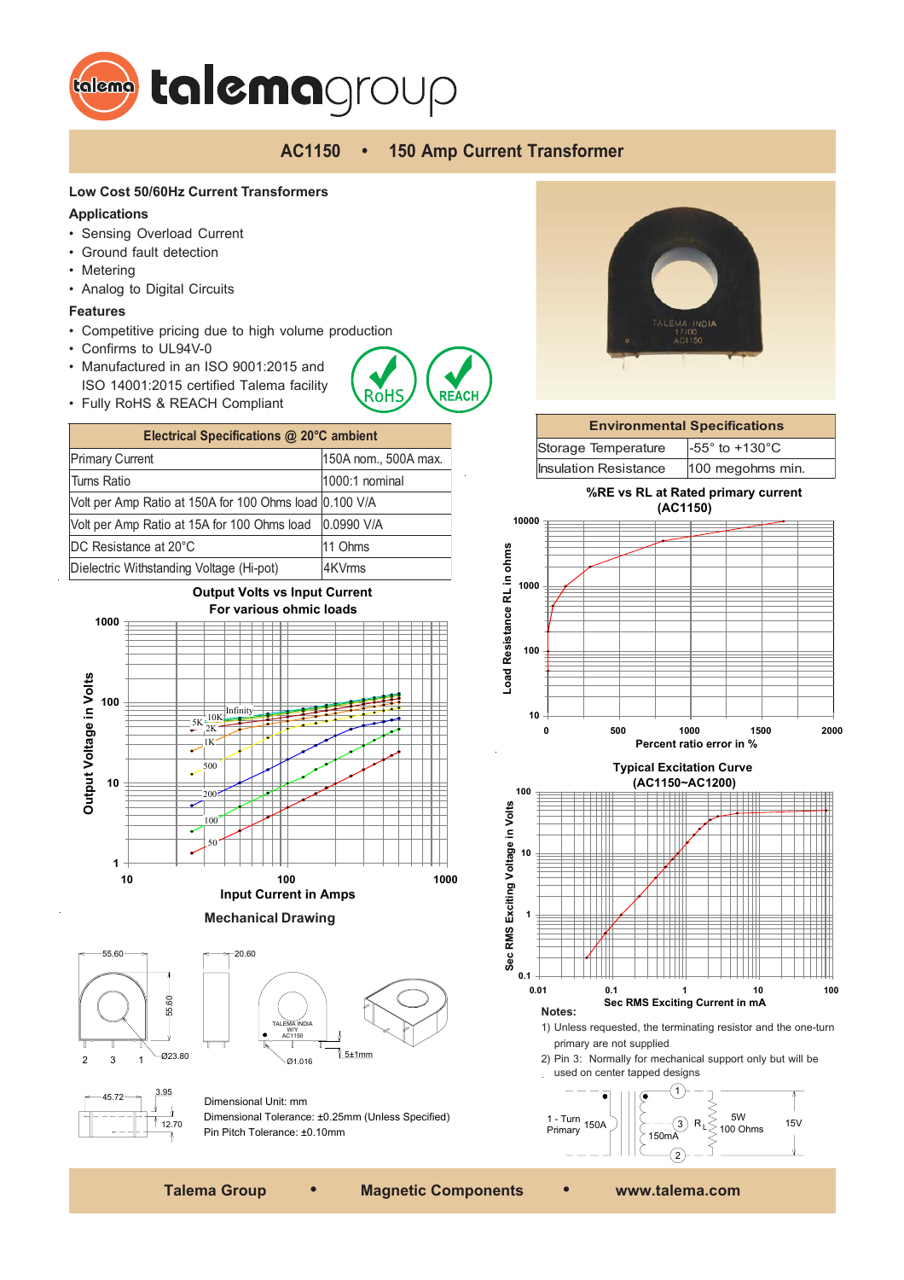

# **AC1150 • 150 Amp Current Transformer**

**REACI** 

RỏH

### **Low Cost 50/60Hz Current Transformers**

### **Applications**

- Sensing Overload Current
- Ground fault detection
- Metering
- Analog to Digital Circuits

#### **Features**

- Competitive pricing due to high volume production
- Confirms to UL94V-0
- Manufactured in an ISO 9001:2015 and ISO 14001:2015 certified Talema facility
- Fully RoHS & REACH Compliant

| Electrical Specifications @ 20°C ambient               |                      |  |
|--------------------------------------------------------|----------------------|--|
| <b>Primary Current</b>                                 | 150A nom., 500A max. |  |
| Turns Ratio                                            | 1000:1 nominal       |  |
| Volt per Amp Ratio at 150A for 100 Ohms load 0.100 V/A |                      |  |
| Volt per Amp Ratio at 15A for 100 Ohms load            | 0.0990 V/A           |  |
| DC Resistance at 20°C                                  | 11 Ohms              |  |
| Dielectric Withstanding Voltage (Hi-pot)               | 4KVrms               |  |



**Mechanical Drawing**







Dimensional Unit: mm Dimensional Tolerance: ±0.25mm (Unless Specified) Pin Pitch Tolerance: ±0.10mm



# **Environmental Specifications** Storage Temperature  $-55^\circ$  to +130 $^\circ$ C  $Insulation Resistance$  100 megohms min.

**%RE vs RL at Rated primary current (AC1150)**



**Typical Excitation Curve**



1) Unless requested, the terminating resistor and the one-turn primary are not supplied

2) Pin 3: Normally for mechanical support only but will be used on center tapped designs



**Talema Group • Magnetic Components • www.talema.com**